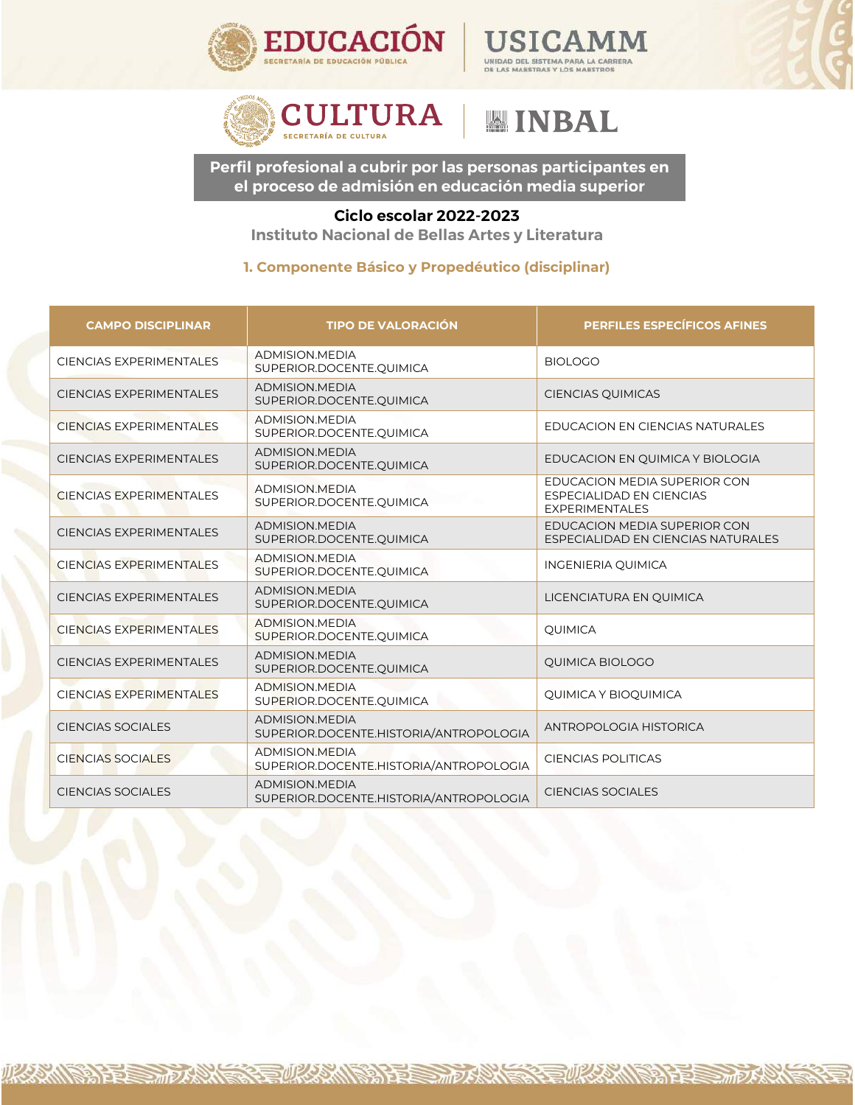





リスクごへい

沙草

そうのとり、い

## **Instituto Nacional de Bellas Artes y Literatura Ciclo escolar 2022-2023**

| <b>CULTURA</b><br><b>WINBAL</b><br>SECRETARÍA DE CULTURA                                                                        |                                                                 |                                                                                   |
|---------------------------------------------------------------------------------------------------------------------------------|-----------------------------------------------------------------|-----------------------------------------------------------------------------------|
| Perfil profesional a cubrir por las personas participantes en<br>el proceso de admisión en educación media superior             |                                                                 |                                                                                   |
| Ciclo escolar 2022-2023<br>Instituto Nacional de Bellas Artes y Literatura<br>1. Componente Básico y Propedéutico (disciplinar) |                                                                 |                                                                                   |
| <b>CAMPO DISCIPLINAR</b>                                                                                                        | <b>TIPO DE VALORACIÓN</b>                                       | <b>PERFILES ESPECÍFICOS AFINES</b>                                                |
| <b>CIENCIAS EXPERIMENTALES</b>                                                                                                  | ADMISION.MEDIA<br>SUPERIOR.DOCENTE.QUIMICA                      | <b>BIOLOGO</b>                                                                    |
| CIENCIAS EXPERIMENTALES                                                                                                         | ADMISION.MEDIA<br>SUPERIOR.DOCENTE.QUIMICA                      | <b>CIENCIAS QUIMICAS</b>                                                          |
| <b>CIENCIAS EXPERIMENTALES</b>                                                                                                  | ADMISION.MEDIA<br>SUPERIOR.DOCENTE.QUIMICA                      | EDUCACION EN CIENCIAS NATURALES                                                   |
| <b>CIENCIAS EXPERIMENTALES</b>                                                                                                  | ADMISION.MEDIA<br>SUPERIOR.DOCENTE.QUIMICA                      | EDUCACION EN QUIMICA Y BIOLOGIA                                                   |
| <b>CIENCIAS EXPERIMENTALES</b>                                                                                                  | ADMISION.MEDIA<br>SUPERIOR.DOCENTE.QUIMICA                      | EDUCACION MEDIA SUPERIOR CON<br>ESPECIALIDAD EN CIENCIAS<br><b>EXPERIMENTALES</b> |
| <b>CIENCIAS EXPERIMENTALES</b>                                                                                                  | ADMISION.MEDIA<br>SUPERIOR.DOCENTE.QUIMICA                      | EDUCACION MEDIA SUPERIOR CON<br>ESPECIALIDAD EN CIENCIAS NATURALES                |
| <b>CIENCIAS EXPERIMENTALES</b>                                                                                                  | ADMISION.MEDIA<br>SUPERIOR.DOCENTE.QUIMICA                      | INGENIERIA QUIMICA                                                                |
| <b>CIENCIAS EXPERIMENTALES</b>                                                                                                  | ADMISION.MEDIA<br>SUPERIOR.DOCENTE.QUIMICA                      | LICENCIATURA EN QUIMICA                                                           |
| <b>CIENCIAS EXPERIMENTALES</b>                                                                                                  | ADMISION.MEDIA<br>SUPERIOR.DOCENTE.QUIMICA                      | QUIMICA                                                                           |
| <b>CIENCIAS EXPERIMENTALES</b>                                                                                                  | <b>ADMISION.MEDIA</b><br>SUPERIOR.DOCENTE.QUIMICA               | <b>QUIMICA BIOLOGO</b>                                                            |
| <b>CIENCIAS EXPERIMENTALES</b>                                                                                                  | <b>ADMISION.MEDIA</b><br>SUPERIOR.DOCENTE.QUIMICA               | QUIMICA Y BIOQUIMICA                                                              |
| CIENCIAS SOCIALES                                                                                                               | <b>ADMISION.MEDIA</b><br>SUPERIOR.DOCENTE.HISTORIA/ANTROPOLOGIA | ANTROPOLOGIA HISTORICA                                                            |
| <b>CIENCIAS SOCIALES</b>                                                                                                        | <b>ADMISION.MEDIA</b><br>SUPERIOR.DOCENTE.HISTORIA/ANTROPOLOGIA | <b>CIENCIAS POLITICAS</b>                                                         |
| <b>CIENCIAS SOCIALES</b>                                                                                                        | ADMISION.MEDIA<br>SUPERIOR.DOCENTE.HISTORIA/ANTROPOLOGIA        | <b>CIENCIAS SOCIALES</b>                                                          |

**FUKAMBATES TOARN**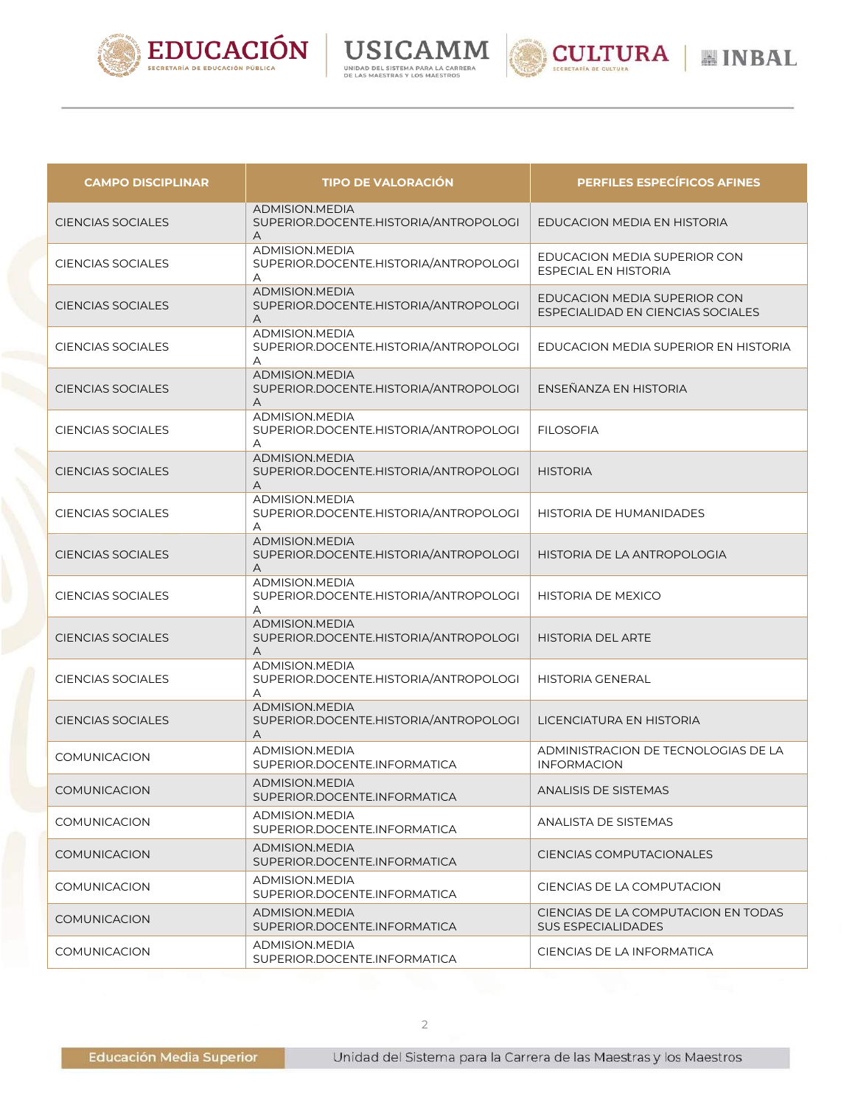





| <b>CAMPO DISCIPLINAR</b> | <b>TIPO DE VALORACIÓN</b>                                            | <b>PERFILES ESPECÍFICOS AFINES</b>                                |
|--------------------------|----------------------------------------------------------------------|-------------------------------------------------------------------|
| <b>CIENCIAS SOCIALES</b> | <b>ADMISION.MEDIA</b><br>SUPERIOR.DOCENTE.HISTORIA/ANTROPOLOGI<br>Α  | EDUCACION MEDIA EN HISTORIA                                       |
| <b>CIENCIAS SOCIALES</b> | ADMISION.MEDIA<br>SUPERIOR.DOCENTE.HISTORIA/ANTROPOLOGI<br>Α         | EDUCACION MEDIA SUPERIOR CON<br><b>ESPECIAL EN HISTORIA</b>       |
| <b>CIENCIAS SOCIALES</b> | <b>ADMISION.MEDIA</b><br>SUPERIOR.DOCENTE.HISTORIA/ANTROPOLOGI<br>Α  | EDUCACION MEDIA SUPERIOR CON<br>ESPECIALIDAD EN CIENCIAS SOCIALES |
| <b>CIENCIAS SOCIALES</b> | <b>ADMISION, MEDIA</b><br>SUPERIOR.DOCENTE.HISTORIA/ANTROPOLOGI<br>A | EDUCACION MEDIA SUPERIOR EN HISTORIA                              |
| <b>CIENCIAS SOCIALES</b> | <b>ADMISION.MEDIA</b><br>SUPERIOR.DOCENTE.HISTORIA/ANTROPOLOGI<br>A  | ENSEÑANZA EN HISTORIA                                             |
| <b>CIENCIAS SOCIALES</b> | ADMISION.MEDIA<br>SUPERIOR.DOCENTE.HISTORIA/ANTROPOLOGI<br>A         | <b>FILOSOFIA</b>                                                  |
| <b>CIENCIAS SOCIALES</b> | <b>ADMISION.MEDIA</b><br>SUPERIOR.DOCENTE.HISTORIA/ANTROPOLOGI<br>A  | <b>HISTORIA</b>                                                   |
| <b>CIENCIAS SOCIALES</b> | ADMISION.MEDIA<br>SUPERIOR.DOCENTE.HISTORIA/ANTROPOLOGI<br>А         | HISTORIA DE HUMANIDADES                                           |
| <b>CIENCIAS SOCIALES</b> | <b>ADMISION.MEDIA</b><br>SUPERIOR.DOCENTE.HISTORIA/ANTROPOLOGI<br>Α  | HISTORIA DE LA ANTROPOLOGIA                                       |
| <b>CIENCIAS SOCIALES</b> | ADMISION.MEDIA<br>SUPERIOR.DOCENTE.HISTORIA/ANTROPOLOGI<br>А         | <b>HISTORIA DE MEXICO</b>                                         |
| <b>CIENCIAS SOCIALES</b> | <b>ADMISION.MEDIA</b><br>SUPERIOR.DOCENTE.HISTORIA/ANTROPOLOGI<br>Α  | <b>HISTORIA DEL ARTE</b>                                          |
| <b>CIENCIAS SOCIALES</b> | ADMISION.MEDIA<br>SUPERIOR.DOCENTE.HISTORIA/ANTROPOLOGI<br>A         | <b>HISTORIA GENERAL</b>                                           |
| <b>CIENCIAS SOCIALES</b> | <b>ADMISION.MEDIA</b><br>SUPERIOR.DOCENTE.HISTORIA/ANTROPOLOGI<br>A  | LICENCIATURA EN HISTORIA                                          |
| <b>COMUNICACION</b>      | ADMISION.MEDIA<br>SUPERIOR.DOCENTE.INFORMATICA                       | ADMINISTRACION DE TECNOLOGIAS DE LA<br><b>INFORMACION</b>         |
| COMUNICACION             | <b>ADMISION.MEDIA</b><br>SUPERIOR.DOCENTE.INFORMATICA                | <b>ANALISIS DE SISTEMAS</b>                                       |
| <b>COMUNICACION</b>      | ADMISION.MEDIA<br>SUPERIOR.DOCENTE.INFORMATICA                       | ANALISTA DE SISTEMAS                                              |
| <b>COMUNICACION</b>      | ADMISION.MEDIA<br>SUPERIOR.DOCENTE.INFORMATICA                       | CIENCIAS COMPUTACIONALES                                          |
| <b>COMUNICACION</b>      | ADMISION.MEDIA<br>SUPERIOR.DOCENTE.INFORMATICA                       | CIENCIAS DE LA COMPUTACION                                        |
| <b>COMUNICACION</b>      | ADMISION.MEDIA<br>SUPERIOR.DOCENTE.INFORMATICA                       | CIENCIAS DE LA COMPUTACION EN TODAS<br><b>SUS ESPECIALIDADES</b>  |
| <b>COMUNICACION</b>      | ADMISION.MEDIA<br>SUPERIOR.DOCENTE.INFORMATICA                       | CIENCIAS DE LA INFORMATICA                                        |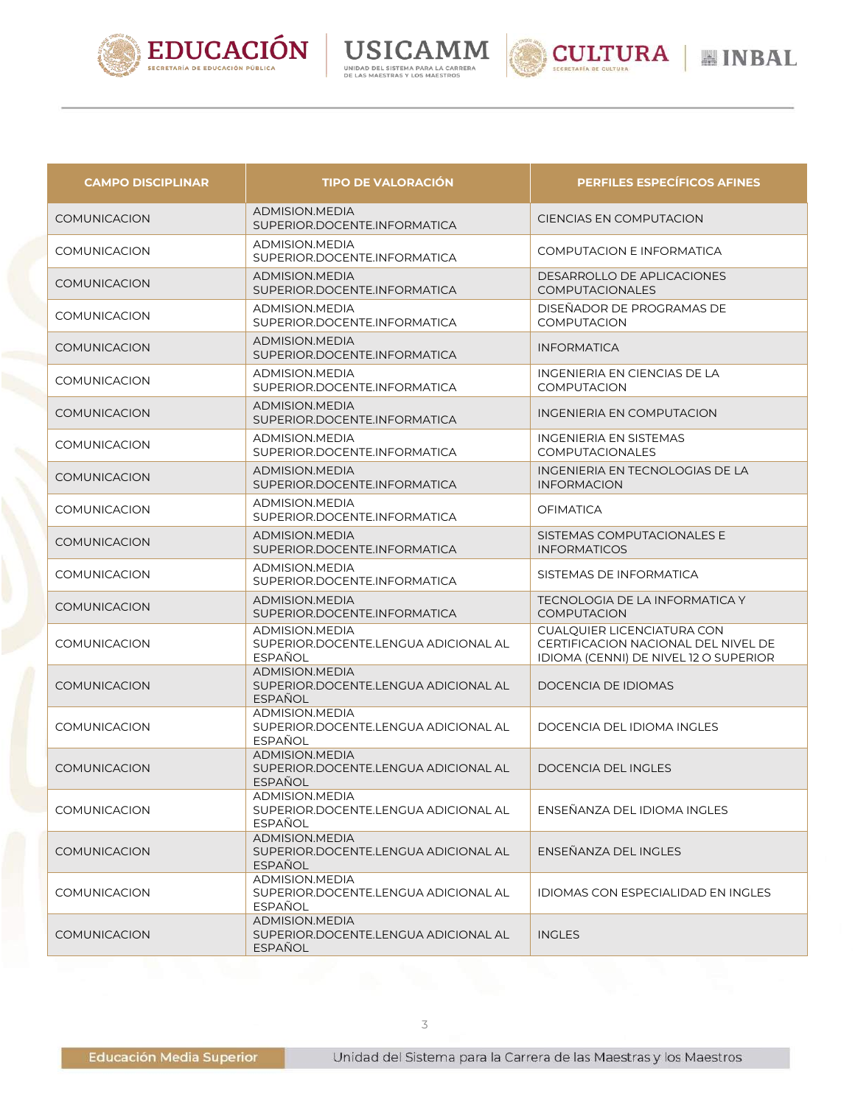





**MINBAL** 

| <b>CAMPO DISCIPLINAR</b> | <b>TIPO DE VALORACIÓN</b>                                                       | <b>PERFILES ESPECÍFICOS AFINES</b>                                                                                |
|--------------------------|---------------------------------------------------------------------------------|-------------------------------------------------------------------------------------------------------------------|
| <b>COMUNICACION</b>      | ADMISION.MEDIA<br>SUPERIOR.DOCENTE.INFORMATICA                                  | <b>CIENCIAS EN COMPUTACION</b>                                                                                    |
| <b>COMUNICACION</b>      | ADMISION.MEDIA<br>SUPERIOR.DOCENTE.INFORMATICA                                  | <b>COMPUTACION E INFORMATICA</b>                                                                                  |
| <b>COMUNICACION</b>      | ADMISION.MEDIA<br>SUPERIOR.DOCENTE.INFORMATICA                                  | DESARROLLO DE APLICACIONES<br><b>COMPUTACIONALES</b>                                                              |
| <b>COMUNICACION</b>      | <b>ADMISION.MEDIA</b><br>SUPERIOR.DOCENTE.INFORMATICA                           | DISEÑADOR DE PROGRAMAS DE<br><b>COMPUTACION</b>                                                                   |
| <b>COMUNICACION</b>      | ADMISION.MEDIA<br>SUPERIOR.DOCENTE.INFORMATICA                                  | <b>INFORMATICA</b>                                                                                                |
| <b>COMUNICACION</b>      | ADMISION.MEDIA<br>SUPERIOR.DOCENTE.INFORMATICA                                  | INGENIERIA EN CIENCIAS DE LA<br><b>COMPUTACION</b>                                                                |
| <b>COMUNICACION</b>      | ADMISION.MEDIA<br>SUPERIOR.DOCENTE.INFORMATICA                                  | INGENIERIA EN COMPUTACION                                                                                         |
| <b>COMUNICACION</b>      | ADMISION.MEDIA<br>SUPERIOR.DOCENTE.INFORMATICA                                  | <b>INGENIERIA EN SISTEMAS</b><br>COMPUTACIONALES                                                                  |
| <b>COMUNICACION</b>      | ADMISION.MEDIA<br>SUPERIOR.DOCENTE.INFORMATICA                                  | INGENIERIA EN TECNOLOGIAS DE LA<br><b>INFORMACION</b>                                                             |
| <b>COMUNICACION</b>      | ADMISION.MEDIA<br>SUPERIOR.DOCENTE.INFORMATICA                                  | <b>OFIMATICA</b>                                                                                                  |
| <b>COMUNICACION</b>      | <b>ADMISION, MEDIA</b><br>SUPERIOR.DOCENTE.INFORMATICA                          | SISTEMAS COMPUTACIONALES E<br><b>INFORMATICOS</b>                                                                 |
| <b>COMUNICACION</b>      | ADMISION.MEDIA<br>SUPERIOR.DOCENTE.INFORMATICA                                  | SISTEMAS DE INFORMATICA                                                                                           |
| <b>COMUNICACION</b>      | ADMISION.MEDIA<br>SUPERIOR.DOCENTE.INFORMATICA                                  | TECNOLOGIA DE LA INFORMATICA Y<br><b>COMPUTACION</b>                                                              |
| <b>COMUNICACION</b>      | ADMISION.MEDIA<br>SUPERIOR.DOCENTE.LENGUA ADICIONAL AL<br><b>ESPAÑOL</b>        | <b>CUALQUIER LICENCIATURA CON</b><br>CERTIFICACION NACIONAL DEL NIVEL DE<br>IDIOMA (CENNI) DE NIVEL 12 O SUPERIOR |
| <b>COMUNICACION</b>      | <b>ADMISION.MEDIA</b><br>SUPERIOR.DOCENTE.LENGUA ADICIONAL AL<br><b>ESPAÑOL</b> | DOCENCIA DE IDIOMAS                                                                                               |
| <b>COMUNICACION</b>      | ADMISION.MEDIA<br>SUPERIOR.DOCENTE.LENGUA ADICIONAL AL<br>ESPAÑOL               | DOCENCIA DEL IDIOMA INGLES                                                                                        |
| <b>COMUNICACION</b>      | ADMISION, MEDIA<br>SUPERIOR.DOCENTE.LENGUA ADICIONAL AL<br><b>ESPAÑOL</b>       | DOCENCIA DEL INGLES                                                                                               |
| <b>COMUNICACION</b>      | <b>ADMISION.MEDIA</b><br>SUPERIOR.DOCENTE.LENGUA ADICIONAL AL<br><b>ESPAÑOL</b> | ENSEÑANZA DEL IDIOMA INGLES                                                                                       |
| <b>COMUNICACION</b>      | ADMISION.MEDIA<br>SUPERIOR.DOCENTE.LENGUA ADICIONAL AL<br><b>ESPAÑOL</b>        | ENSEÑANZA DEL INGLES                                                                                              |
| COMUNICACION             | ADMISION.MEDIA<br>SUPERIOR.DOCENTE.LENGUA ADICIONAL AL<br><b>ESPAÑOL</b>        | IDIOMAS CON ESPECIALIDAD EN INGLES                                                                                |
| <b>COMUNICACION</b>      | ADMISION.MEDIA<br>SUPERIOR.DOCENTE.LENGUA ADICIONAL AL<br><b>ESPAÑOL</b>        | <b>INGLES</b>                                                                                                     |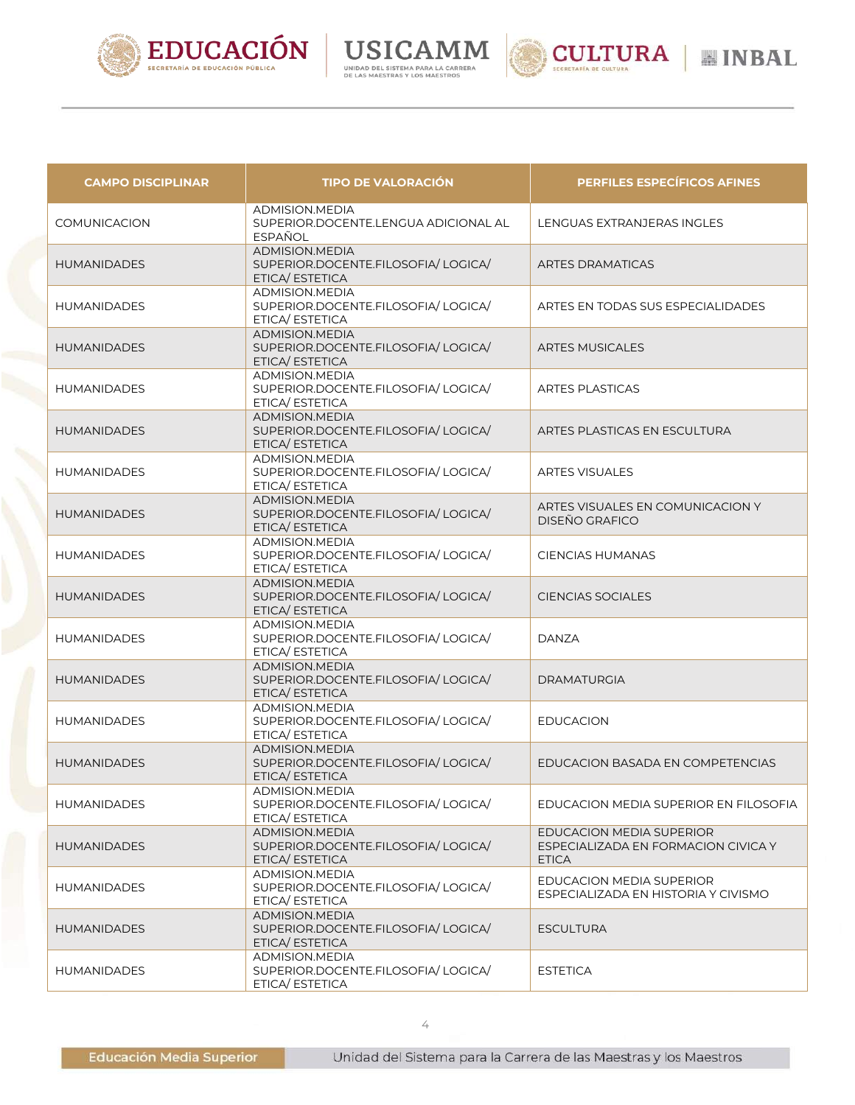





| <b>CAMPO DISCIPLINAR</b> | <b>TIPO DE VALORACIÓN</b>                                                      | <b>PERFILES ESPECÍFICOS AFINES</b>                                              |
|--------------------------|--------------------------------------------------------------------------------|---------------------------------------------------------------------------------|
| <b>COMUNICACION</b>      | <b>ADMISION.MEDIA</b><br>SUPERIOR.DOCENTE.LENGUA ADICIONAL AL<br>ESPAÑOL       | LENGUAS EXTRANJERAS INGLES                                                      |
| <b>HUMANIDADES</b>       | ADMISION.MEDIA<br>SUPERIOR.DOCENTE.FILOSOFIA/LOGICA/<br>ETICA/ ESTETICA        | <b>ARTES DRAMATICAS</b>                                                         |
| <b>HUMANIDADES</b>       | <b>ADMISION.MEDIA</b><br>SUPERIOR.DOCENTE.FILOSOFIA/LOGICA/<br>ETICA/ ESTETICA | ARTES EN TODAS SUS ESPECIALIDADES                                               |
| <b>HUMANIDADES</b>       | <b>ADMISION.MEDIA</b><br>SUPERIOR.DOCENTE.FILOSOFIA/LOGICA/<br>ETICA/ ESTETICA | <b>ARTES MUSICALES</b>                                                          |
| <b>HUMANIDADES</b>       | <b>ADMISION.MEDIA</b><br>SUPERIOR.DOCENTE.FILOSOFIA/LOGICA/<br>ETICA/ ESTETICA | <b>ARTES PLASTICAS</b>                                                          |
| <b>HUMANIDADES</b>       | ADMISION.MEDIA<br>SUPERIOR.DOCENTE.FILOSOFIA/LOGICA/<br>ETICA/ ESTETICA        | ARTES PLASTICAS EN ESCULTURA                                                    |
| <b>HUMANIDADES</b>       | ADMISION.MEDIA<br>SUPERIOR.DOCENTE.FILOSOFIA/LOGICA/<br>ETICA/ ESTETICA        | <b>ARTES VISUALES</b>                                                           |
| <b>HUMANIDADES</b>       | ADMISION.MEDIA<br>SUPERIOR.DOCENTE.FILOSOFIA/LOGICA/<br>ETICA/ ESTETICA        | ARTES VISUALES EN COMUNICACION Y<br><b>DISEÑO GRAFICO</b>                       |
| <b>HUMANIDADES</b>       | ADMISION.MEDIA<br>SUPERIOR.DOCENTE.FILOSOFIA/LOGICA/<br>ETICA/ ESTETICA        | <b>CIENCIAS HUMANAS</b>                                                         |
| <b>HUMANIDADES</b>       | <b>ADMISION.MEDIA</b><br>SUPERIOR.DOCENTE.FILOSOFIA/LOGICA/<br>ETICA/ ESTETICA | <b>CIENCIAS SOCIALES</b>                                                        |
| <b>HUMANIDADES</b>       | ADMISION.MEDIA<br>SUPERIOR.DOCENTE.FILOSOFIA/LOGICA/<br>ETICA/ ESTETICA        | <b>DANZA</b>                                                                    |
| <b>HUMANIDADES</b>       | ADMISION.MEDIA<br>SUPERIOR.DOCENTE.FILOSOFIA/LOGICA/<br>ETICA/ ESTETICA        | <b>DRAMATURGIA</b>                                                              |
| <b>HUMANIDADES</b>       | ADMISION.MEDIA<br>SUPERIOR.DOCENTE.FILOSOFIA/LOGICA/<br>ETICA/ ESTETICA        | <b>EDUCACION</b>                                                                |
| <b>HUMANIDADES</b>       | ADMISION.MEDIA<br>SUPERIOR.DOCENTE.FILOSOFIA/LOGICA/<br>ETICA/ ESTETICA        | EDUCACION BASADA EN COMPETENCIAS                                                |
| <b>HUMANIDADES</b>       | ADMISION.MEDIA<br>SUPERIOR.DOCENTE.FILOSOFIA/LOGICA/<br>ETICA/ ESTETICA        | EDUCACION MEDIA SUPERIOR EN FILOSOFIA                                           |
| <b>HUMANIDADES</b>       | ADMISION.MEDIA<br>SUPERIOR.DOCENTE.FILOSOFIA/LOGICA/<br>ETICA/ ESTETICA        | EDUCACION MEDIA SUPERIOR<br>ESPECIALIZADA EN FORMACION CIVICA Y<br><b>ETICA</b> |
| <b>HUMANIDADES</b>       | ADMISION.MEDIA<br>SUPERIOR.DOCENTE.FILOSOFIA/LOGICA/<br>ETICA/ ESTETICA        | <b>EDUCACION MEDIA SUPERIOR</b><br>ESPECIALIZADA EN HISTORIA Y CIVISMO          |
| <b>HUMANIDADES</b>       | ADMISION.MEDIA<br>SUPERIOR.DOCENTE.FILOSOFIA/LOGICA/<br>ETICA/ ESTETICA        | <b>ESCULTURA</b>                                                                |
| <b>HUMANIDADES</b>       | ADMISION.MEDIA<br>SUPERIOR.DOCENTE.FILOSOFIA/LOGICA/<br>ETICA/ ESTETICA        | <b>ESTETICA</b>                                                                 |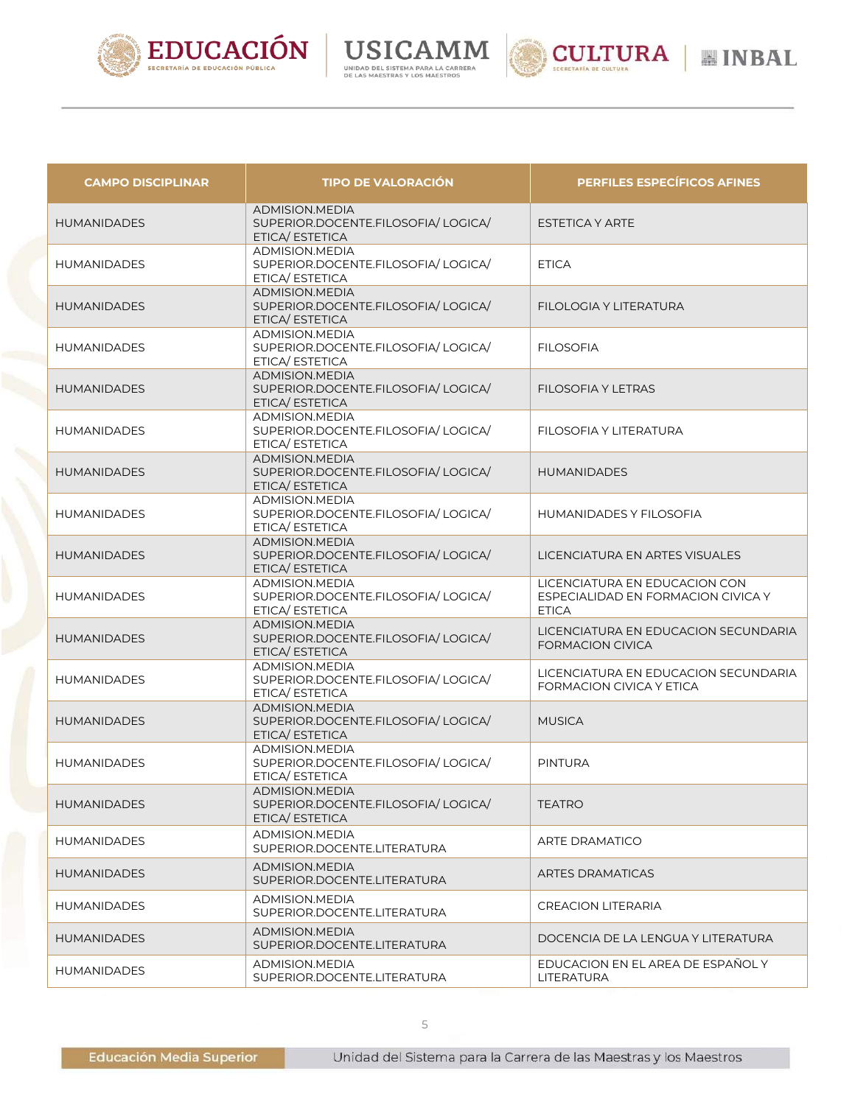





| <b>CAMPO DISCIPLINAR</b> | <b>TIPO DE VALORACIÓN</b>                                                       | <b>PERFILES ESPECÍFICOS AFINES</b>                                                  |
|--------------------------|---------------------------------------------------------------------------------|-------------------------------------------------------------------------------------|
| <b>HUMANIDADES</b>       | <b>ADMISION, MEDIA</b><br>SUPERIOR.DOCENTE.FILOSOFIA/LOGICA/<br>ETICA/ ESTETICA | ESTETICA Y ARTE                                                                     |
| <b>HUMANIDADES</b>       | ADMISION.MEDIA<br>SUPERIOR.DOCENTE.FILOSOFIA/LOGICA/<br>ETICA/ESTETICA          | <b>ETICA</b>                                                                        |
| <b>HUMANIDADES</b>       | <b>ADMISION.MEDIA</b><br>SUPERIOR.DOCENTE.FILOSOFIA/LOGICA/<br>ETICA/ ESTETICA  | FILOLOGIA Y LITERATURA                                                              |
| <b>HUMANIDADES</b>       | ADMISION.MEDIA<br>SUPERIOR.DOCENTE.FILOSOFIA/LOGICA/<br>ETICA/ ESTETICA         | <b>FILOSOFIA</b>                                                                    |
| <b>HUMANIDADES</b>       | <b>ADMISION.MEDIA</b><br>SUPERIOR.DOCENTE.FILOSOFIA/LOGICA/<br>ETICA/ ESTETICA  | <b>FILOSOFIA Y LETRAS</b>                                                           |
| <b>HUMANIDADES</b>       | ADMISION.MEDIA<br>SUPERIOR.DOCENTE.FILOSOFIA/LOGICA/<br>ETICA/ ESTETICA         | FILOSOFIA Y LITERATURA                                                              |
| <b>HUMANIDADES</b>       | <b>ADMISION.MEDIA</b><br>SUPERIOR.DOCENTE.FILOSOFIA/LOGICA/<br>ETICA/ ESTETICA  | <b>HUMANIDADES</b>                                                                  |
| <b>HUMANIDADES</b>       | ADMISION.MEDIA<br>SUPERIOR.DOCENTE.FILOSOFIA/LOGICA/<br>ETICA/ ESTETICA         | <b>HUMANIDADES Y FILOSOFIA</b>                                                      |
| <b>HUMANIDADES</b>       | <b>ADMISION, MEDIA</b><br>SUPERIOR.DOCENTE.FILOSOFIA/LOGICA/<br>ETICA/ ESTETICA | LICENCIATURA EN ARTES VISUALES                                                      |
| <b>HUMANIDADES</b>       | ADMISION.MEDIA<br>SUPERIOR.DOCENTE.FILOSOFIA/LOGICA/<br>ETICA/ ESTETICA         | LICENCIATURA EN EDUCACION CON<br>ESPECIALIDAD EN FORMACION CIVICA Y<br><b>ETICA</b> |
| <b>HUMANIDADES</b>       | ADMISION.MEDIA<br>SUPERIOR.DOCENTE.FILOSOFIA/LOGICA/<br>ETICA/ ESTETICA         | LICENCIATURA EN EDUCACION SECUNDARIA<br><b>FORMACION CIVICA</b>                     |
| <b>HUMANIDADES</b>       | ADMISION.MEDIA<br>SUPERIOR.DOCENTE.FILOSOFIA/LOGICA/<br>ETICA/ ESTETICA         | LICENCIATURA EN EDUCACION SECUNDARIA<br>FORMACION CIVICA Y ETICA                    |
| <b>HUMANIDADES</b>       | ADMISION.MEDIA<br>SUPERIOR.DOCENTE.FILOSOFIA/LOGICA/<br>ETICA/ ESTETICA         | <b>MUSICA</b>                                                                       |
| <b>HUMANIDADES</b>       | ADMISION.MEDIA<br>SUPERIOR.DOCENTE.FILOSOFIA/LOGICA/<br>ETICA/ ESTETICA         | <b>PINTURA</b>                                                                      |
| <b>HUMANIDADES</b>       | ADMISION.MEDIA<br>SUPERIOR.DOCENTE.FILOSOFIA/LOGICA/<br>ETICA/ ESTETICA         | <b>TEATRO</b>                                                                       |
| <b>HUMANIDADES</b>       | ADMISION.MEDIA<br>SUPERIOR.DOCENTE.LITERATURA                                   | <b>ARTE DRAMATICO</b>                                                               |
| <b>HUMANIDADES</b>       | ADMISION.MEDIA<br>SUPERIOR.DOCENTE.LITERATURA                                   | <b>ARTES DRAMATICAS</b>                                                             |
| <b>HUMANIDADES</b>       | ADMISION.MEDIA<br>SUPERIOR.DOCENTE.LITERATURA                                   | <b>CREACION LITERARIA</b>                                                           |
| <b>HUMANIDADES</b>       | ADMISION.MEDIA<br>SUPERIOR.DOCENTE.LITERATURA                                   | DOCENCIA DE LA LENGUA Y LITERATURA                                                  |
| <b>HUMANIDADES</b>       | ADMISION.MEDIA<br>SUPERIOR.DOCENTE.LITERATURA                                   | EDUCACION EN EL AREA DE ESPAÑOL Y<br>LITERATURA                                     |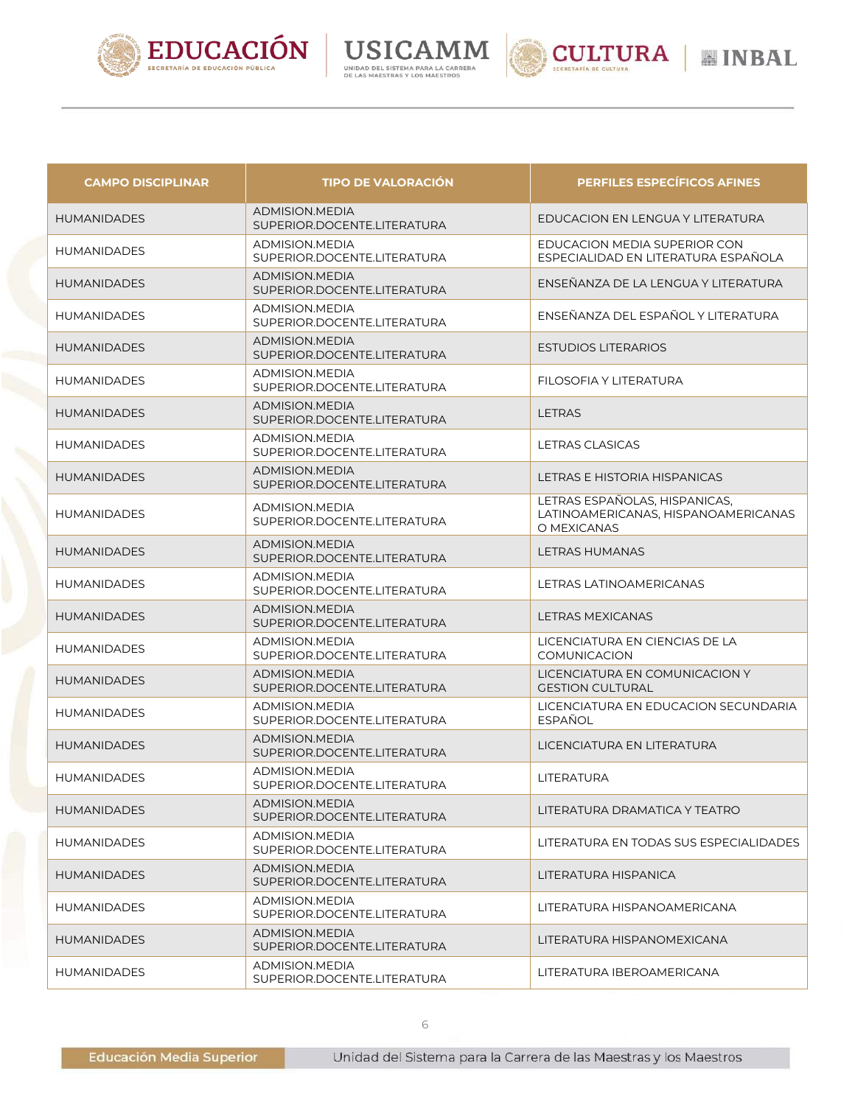





| <b>CAMPO DISCIPLINAR</b> | <b>TIPO DE VALORACIÓN</b>                             | <b>PERFILES ESPECÍFICOS AFINES</b>                                                  |
|--------------------------|-------------------------------------------------------|-------------------------------------------------------------------------------------|
| <b>HUMANIDADES</b>       | ADMISION.MEDIA<br>SUPERIOR.DOCENTE.LITERATURA         | EDUCACION EN LENGUA Y LITERATURA                                                    |
| <b>HUMANIDADES</b>       | ADMISION.MEDIA<br>SUPERIOR.DOCENTE.LITERATURA         | EDUCACION MEDIA SUPERIOR CON<br>ESPECIALIDAD EN LITERATURA ESPAÑOLA                 |
| <b>HUMANIDADES</b>       | <b>ADMISION.MEDIA</b><br>SUPERIOR.DOCENTE.LITERATURA  | ENSEÑANZA DE LA LENGUA Y LITERATURA                                                 |
| <b>HUMANIDADES</b>       | ADMISION.MEDIA<br>SUPERIOR.DOCENTE.LITERATURA         | ENSEÑANZA DEL ESPAÑOL Y LITERATURA                                                  |
| <b>HUMANIDADES</b>       | <b>ADMISION, MEDIA</b><br>SUPERIOR.DOCENTE.LITERATURA | <b>ESTUDIOS LITERARIOS</b>                                                          |
| <b>HUMANIDADES</b>       | ADMISION.MEDIA<br>SUPERIOR.DOCENTE.LITERATURA         | FILOSOFIA Y LITERATURA                                                              |
| <b>HUMANIDADES</b>       | ADMISION.MEDIA<br>SUPERIOR.DOCENTE.LITERATURA         | <b>LETRAS</b>                                                                       |
| <b>HUMANIDADES</b>       | ADMISION.MEDIA<br>SUPERIOR.DOCENTE.LITERATURA         | LETRAS CLASICAS                                                                     |
| <b>HUMANIDADES</b>       | ADMISION.MEDIA<br>SUPERIOR.DOCENTE.LITERATURA         | LETRAS E HISTORIA HISPANICAS                                                        |
| <b>HUMANIDADES</b>       | ADMISION.MEDIA<br>SUPERIOR.DOCENTE.LITERATURA         | LETRAS ESPAÑOLAS, HISPANICAS,<br>LATINOAMERICANAS. HISPANOAMERICANAS<br>O MEXICANAS |
| <b>HUMANIDADES</b>       | ADMISION.MEDIA<br>SUPERIOR.DOCENTE.LITERATURA         | LETRAS HUMANAS                                                                      |
| <b>HUMANIDADES</b>       | ADMISION.MEDIA<br>SUPERIOR.DOCENTE.LITERATURA         | LETRAS LATINOAMERICANAS                                                             |
| <b>HUMANIDADES</b>       | <b>ADMISION.MEDIA</b><br>SUPERIOR.DOCENTE.LITERATURA  | <b>LETRAS MEXICANAS</b>                                                             |
| <b>HUMANIDADES</b>       | ADMISION.MEDIA<br>SUPERIOR.DOCENTE.LITERATURA         | LICENCIATURA EN CIENCIAS DE LA<br>COMUNICACION                                      |
| <b>HUMANIDADES</b>       | ADMISION.MEDIA<br>SUPERIOR.DOCENTE.LITERATURA         | LICENCIATURA EN COMUNICACION Y<br><b>GESTION CULTURAL</b>                           |
| <b>HUMANIDADES</b>       | ADMISION.MEDIA<br>SUPERIOR.DOCENTE.LITERATURA         | LICENCIATURA EN EDUCACION SECUNDARIA<br><b>ESPAÑOL</b>                              |
| <b>HUMANIDADES</b>       | <b>ADMISION.MEDIA</b><br>SUPERIOR.DOCENTE.LITERATURA  | LICENCIATURA EN LITERATURA                                                          |
| <b>HUMANIDADES</b>       | ADMISION.MEDIA<br>SUPERIOR.DOCENTE.LITERATURA         | <b>LITERATURA</b>                                                                   |
| <b>HUMANIDADES</b>       | ADMISION.MEDIA<br>SUPERIOR.DOCENTE.LITERATURA         | LITERATURA DRAMATICA Y TEATRO                                                       |
| HUMANIDADES              | ADMISION, MEDIA<br>SUPERIOR.DOCENTE.LITERATURA        | LITERATURA EN TODAS SUS ESPECIALIDADES                                              |
| <b>HUMANIDADES</b>       | <b>ADMISION.MEDIA</b><br>SUPERIOR.DOCENTE.LITERATURA  | LITERATURA HISPANICA                                                                |
| <b>HUMANIDADES</b>       | ADMISION.MEDIA<br>SUPERIOR.DOCENTE.LITERATURA         | LITERATURA HISPANOAMERICANA                                                         |
| HUMANIDADES              | ADMISION.MEDIA<br>SUPERIOR.DOCENTE.LITERATURA         | LITERATURA HISPANOMEXICANA                                                          |
| HUMANIDADES              | ADMISION.MEDIA<br>SUPERIOR.DOCENTE.LITERATURA         | LITERATURA IBEROAMERICANA                                                           |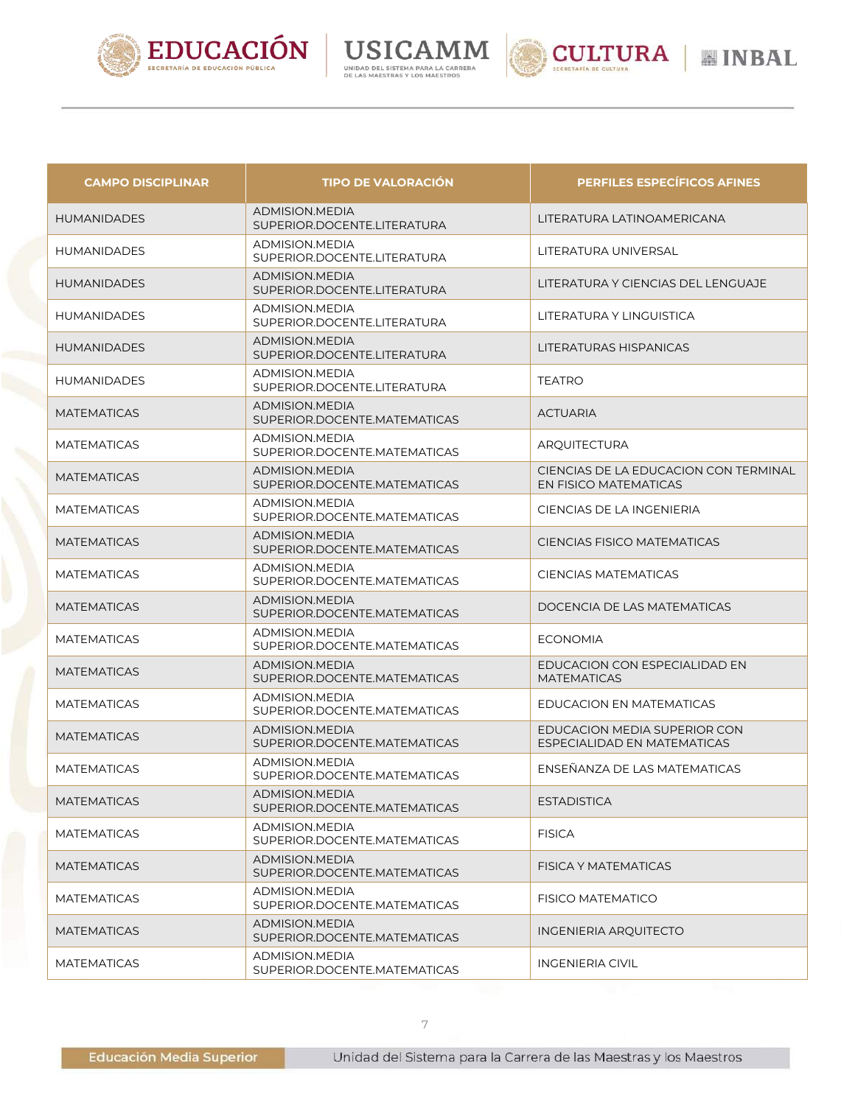







| <b>CAMPO DISCIPLINAR</b> | <b>TIPO DE VALORACIÓN</b>                             | <b>PERFILES ESPECÍFICOS AFINES</b>                             |
|--------------------------|-------------------------------------------------------|----------------------------------------------------------------|
| <b>HUMANIDADES</b>       | ADMISION.MEDIA<br>SUPERIOR.DOCENTE.LITERATURA         | LITERATURA LATINOAMERICANA                                     |
| <b>HUMANIDADES</b>       | ADMISION.MEDIA<br>SUPERIOR.DOCENTE.LITERATURA         | LITERATURA UNIVERSAL                                           |
| <b>HUMANIDADES</b>       | ADMISION.MEDIA<br>SUPERIOR.DOCENTE.LITERATURA         | LITERATURA Y CIENCIAS DEL LENGUAJE                             |
| <b>HUMANIDADES</b>       | ADMISION.MEDIA<br>SUPERIOR.DOCENTE.LITERATURA         | LITERATURA Y LINGUISTICA                                       |
| <b>HUMANIDADES</b>       | ADMISION.MEDIA<br>SUPERIOR.DOCENTE.LITERATURA         | LITERATURAS HISPANICAS                                         |
| <b>HUMANIDADES</b>       | ADMISION.MEDIA<br>SUPERIOR.DOCENTE.LITERATURA         | <b>TEATRO</b>                                                  |
| <b>MATEMATICAS</b>       | <b>ADMISION.MEDIA</b><br>SUPERIOR.DOCENTE.MATEMATICAS | <b>ACTUARIA</b>                                                |
| <b>MATEMATICAS</b>       | ADMISION.MEDIA<br>SUPERIOR.DOCENTE.MATEMATICAS        | <b>ARQUITECTURA</b>                                            |
| <b>MATEMATICAS</b>       | ADMISION.MEDIA<br>SUPERIOR.DOCENTE.MATEMATICAS        | CIENCIAS DE LA EDUCACION CON TERMINAL<br>EN FISICO MATEMATICAS |
| <b>MATEMATICAS</b>       | ADMISION, MEDIA<br>SUPERIOR.DOCENTE.MATEMATICAS       | CIENCIAS DE LA INGENIERIA                                      |
| <b>MATEMATICAS</b>       | ADMISION.MEDIA<br>SUPERIOR.DOCENTE.MATEMATICAS        | <b>CIENCIAS FISICO MATEMATICAS</b>                             |
| <b>MATEMATICAS</b>       | ADMISION.MEDIA<br>SUPERIOR.DOCENTE.MATEMATICAS        | <b>CIENCIAS MATEMATICAS</b>                                    |
| <b>MATEMATICAS</b>       | ADMISION.MEDIA<br>SUPERIOR.DOCENTE.MATEMATICAS        | DOCENCIA DE LAS MATEMATICAS                                    |
| <b>MATEMATICAS</b>       | ADMISION.MEDIA<br>SUPERIOR.DOCENTE.MATEMATICAS        | <b>ECONOMIA</b>                                                |
| <b>MATEMATICAS</b>       | <b>ADMISION.MEDIA</b><br>SUPERIOR.DOCENTE.MATEMATICAS | EDUCACION CON ESPECIALIDAD EN<br><b>MATEMATICAS</b>            |
| <b>MATEMATICAS</b>       | ADMISION.MEDIA<br>SUPERIOR.DOCENTE.MATEMATICAS        | EDUCACION EN MATEMATICAS                                       |
| <b>MATEMATICAS</b>       | ADMISION.MEDIA<br>SUPERIOR.DOCENTE.MATEMATICAS        | EDUCACION MEDIA SUPERIOR CON<br>ESPECIALIDAD EN MATEMATICAS    |
| <b>MATEMATICAS</b>       | ADMISION.MEDIA<br>SUPERIOR.DOCENTE.MATEMATICAS        | ENSEÑANZA DE LAS MATEMATICAS                                   |
| <b>MATEMATICAS</b>       | ADMISION.MEDIA<br>SUPERIOR.DOCENTE.MATEMATICAS        | <b>ESTADISTICA</b>                                             |
| <b>MATEMATICAS</b>       | ADMISION.MEDIA<br>SUPERIOR.DOCENTE.MATEMATICAS        | <b>FISICA</b>                                                  |
| <b>MATEMATICAS</b>       | ADMISION.MEDIA<br>SUPERIOR.DOCENTE.MATEMATICAS        | FISICA Y MATEMATICAS                                           |
| <b>MATEMATICAS</b>       | ADMISION.MEDIA<br>SUPERIOR.DOCENTE.MATEMATICAS        | FISICO MATEMATICO                                              |
| <b>MATEMATICAS</b>       | ADMISION.MEDIA<br>SUPERIOR.DOCENTE.MATEMATICAS        | <b>INGENIERIA ARQUITECTO</b>                                   |
| <b>MATEMATICAS</b>       | ADMISION.MEDIA<br>SUPERIOR.DOCENTE.MATEMATICAS        | <b>INGENIERIA CIVIL</b>                                        |